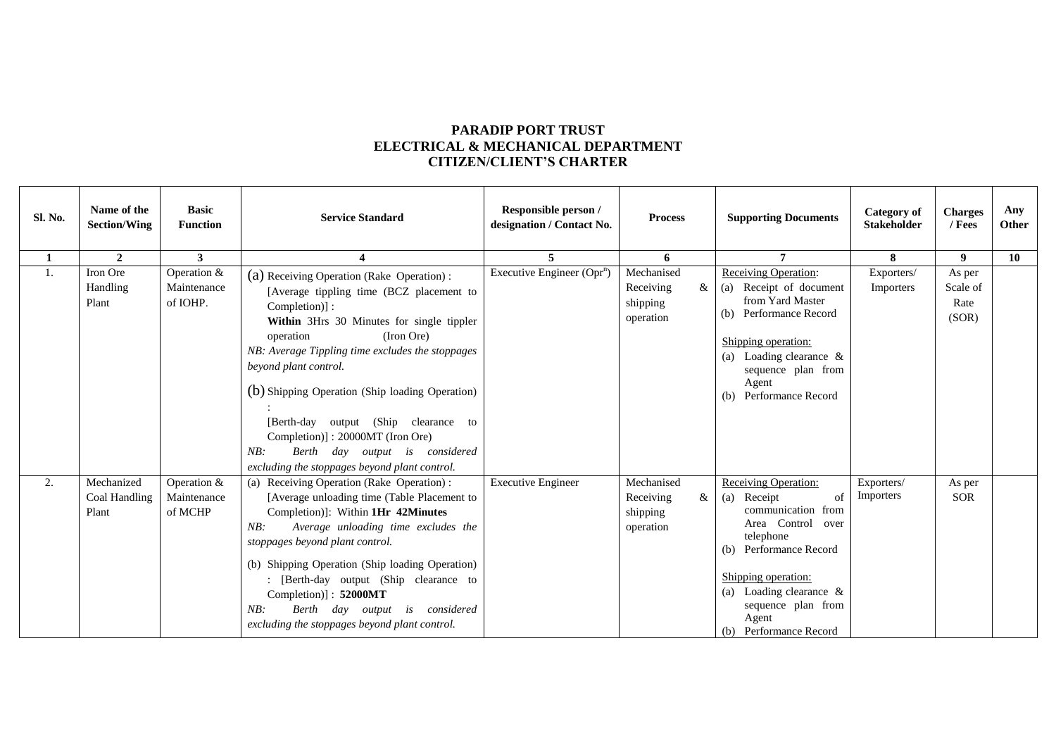## **PARADIP PORT TRUST ELECTRICAL & MECHANICAL DEPARTMENT CITIZEN/CLIENT'S CHARTER**

| Sl. No.      | Name of the<br><b>Section/Wing</b>   | <b>Basic</b><br><b>Function</b>        | <b>Service Standard</b>                                                                                                                                                                                                                                                                                                                                                                                                                                                              | Responsible person /<br>designation / Contact No. | <b>Process</b>                                             | <b>Supporting Documents</b>                                                                                                                                                                                                                   | <b>Category</b> of<br><b>Stakeholder</b> | <b>Charges</b><br>/ Fees            | Any<br>Other |
|--------------|--------------------------------------|----------------------------------------|--------------------------------------------------------------------------------------------------------------------------------------------------------------------------------------------------------------------------------------------------------------------------------------------------------------------------------------------------------------------------------------------------------------------------------------------------------------------------------------|---------------------------------------------------|------------------------------------------------------------|-----------------------------------------------------------------------------------------------------------------------------------------------------------------------------------------------------------------------------------------------|------------------------------------------|-------------------------------------|--------------|
| $\mathbf{1}$ | $\mathbf{2}$                         | 3                                      |                                                                                                                                                                                                                                                                                                                                                                                                                                                                                      | 5.                                                | 6                                                          | 7                                                                                                                                                                                                                                             | 8                                        | 9                                   | 10           |
| 1.           | Iron Ore<br>Handling<br>Plant        | Operation &<br>Maintenance<br>of IOHP. | (a) Receiving Operation (Rake Operation):<br>[Average tippling time (BCZ placement to<br>Completion)]:<br>Within 3Hrs 30 Minutes for single tippler<br>(Iron Ore)<br>operation<br>NB: Average Tippling time excludes the stoppages<br>beyond plant control.<br>(b) Shipping Operation (Ship loading Operation)<br>[Berth-day output (Ship clearance to<br>Completion)]: 20000MT (Iron Ore)<br>Berth day output is considered<br>NB:<br>excluding the stoppages beyond plant control. | Executive Engineer $(Opr^n)$                      | Mechanised<br>Receiving<br>$\&$ 1<br>shipping<br>operation | <b>Receiving Operation:</b><br>(a) Receipt of document<br>from Yard Master<br>(b) Performance Record<br>Shipping operation:<br>(a) Loading clearance $\&$<br>sequence plan from<br>Agent<br>(b) Performance Record                            | Exporters/<br>Importers                  | As per<br>Scale of<br>Rate<br>(SOR) |              |
| 2.           | Mechanized<br>Coal Handling<br>Plant | Operation &<br>Maintenance<br>of MCHP  | (a) Receiving Operation (Rake Operation) :<br>[Average unloading time (Table Placement to<br>Completion)]: Within 1Hr 42Minutes<br>NB:<br>Average unloading time excludes the<br>stoppages beyond plant control.<br>(b) Shipping Operation (Ship loading Operation)<br>: [Berth-day output (Ship clearance to<br>Completion)]: 52000MT<br>Berth day output is considered<br>NB:<br>excluding the stoppages beyond plant control.                                                     | <b>Executive Engineer</b>                         | Mechanised<br>Receiving<br>$\&$<br>shipping<br>operation   | <b>Receiving Operation:</b><br>(a) Receipt<br>of<br>communication from<br>Area Control over<br>telephone<br>(b) Performance Record<br>Shipping operation:<br>(a) Loading clearance &<br>sequence plan from<br>Agent<br>(b) Performance Record | Exporters/<br>Importers                  | As per<br><b>SOR</b>                |              |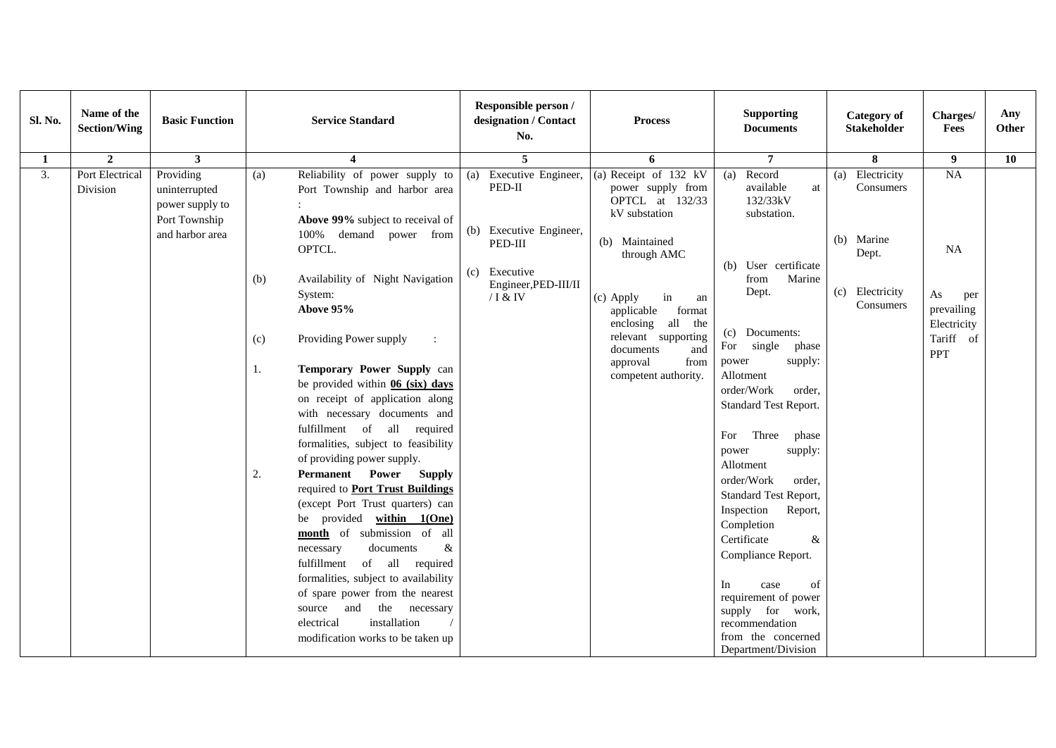| Sl. No. | Name of the<br><b>Section/Wing</b> | <b>Basic Function</b>                                                             | <b>Service Standard</b>                                                                                                                                                                                                                                                                                                                                                                                                                                                                                                                                                                                                                                                                                                                                                              | Responsible person /<br>designation / Contact<br>No.                                                                              | <b>Process</b>                                                                                                                                                                                                                                                                    | <b>Supporting</b><br><b>Documents</b>                                                                                                                                                                                                                                                                                                                                                                                                        | <b>Category</b> of<br><b>Stakeholder</b>                                               | Charges/<br>Fees                                                                     | Any<br>Other |
|---------|------------------------------------|-----------------------------------------------------------------------------------|--------------------------------------------------------------------------------------------------------------------------------------------------------------------------------------------------------------------------------------------------------------------------------------------------------------------------------------------------------------------------------------------------------------------------------------------------------------------------------------------------------------------------------------------------------------------------------------------------------------------------------------------------------------------------------------------------------------------------------------------------------------------------------------|-----------------------------------------------------------------------------------------------------------------------------------|-----------------------------------------------------------------------------------------------------------------------------------------------------------------------------------------------------------------------------------------------------------------------------------|----------------------------------------------------------------------------------------------------------------------------------------------------------------------------------------------------------------------------------------------------------------------------------------------------------------------------------------------------------------------------------------------------------------------------------------------|----------------------------------------------------------------------------------------|--------------------------------------------------------------------------------------|--------------|
| 1       | $\overline{2}$                     | $\mathbf{3}$                                                                      | 4                                                                                                                                                                                                                                                                                                                                                                                                                                                                                                                                                                                                                                                                                                                                                                                    | 5                                                                                                                                 | 6                                                                                                                                                                                                                                                                                 | $\overline{7}$                                                                                                                                                                                                                                                                                                                                                                                                                               | 8                                                                                      | 9 <sup>°</sup>                                                                       | 10           |
| 3.      | Port Electrical<br>Division        | Providing<br>uninterrupted<br>power supply to<br>Port Township<br>and harbor area | Reliability of power supply to<br>(a)<br>Port Township and harbor area<br>Above 99% subject to receival of<br>100% demand power from<br>OPTCL.<br>Availability of Night Navigation<br>(b)<br>System:<br>Above 95%<br>Providing Power supply<br>(c)<br>$\ddot{\cdot}$<br>Temporary Power Supply can<br>1.<br>be provided within $06$ (six) days<br>on receipt of application along<br>with necessary documents and<br>fulfillment of all required<br>formalities, subject to feasibility<br>of providing power supply.<br><b>Permanent</b> Power<br><b>Supply</b><br>2.<br>required to <b>Port Trust Buildings</b><br>(except Port Trust quarters) can<br>be provided within 1(One)<br>month of submission of all<br>$\&$<br>documents<br>necessary<br>fulfillment<br>of all required | Executive Engineer,<br>(a)<br>PED-II<br>(b) Executive Engineer,<br>PED-III<br>(c) Executive<br>Engineer, PED-III/II<br>$/$ I & IV | (a) Receipt of $132$ kV<br>power supply from<br>OPTCL at 132/33<br>kV substation<br>(b) Maintained<br>through AMC<br>(c) Apply<br>in<br>an<br>applicable<br>format<br>enclosing all<br>the<br>relevant supporting<br>documents<br>and<br>approval<br>from<br>competent authority. | (a) Record<br>available<br>at<br>132/33kV<br>substation.<br>(b) User certificate<br>Marine<br>from<br>Dept.<br>(c) Documents:<br>For<br>single<br>phase<br>supply:<br>power<br>Allotment<br>order/Work<br>order,<br><b>Standard Test Report.</b><br>Three<br>For<br>phase<br>power<br>supply:<br>Allotment<br>order/Work<br>order.<br>Standard Test Report,<br>Inspection<br>Report,<br>Completion<br>Certificate<br>&<br>Compliance Report. | Electricity<br>(a)<br>Consumers<br>(b) Marine<br>Dept.<br>(c) Electricity<br>Consumers | NA<br><b>NA</b><br>As<br>per<br>prevailing<br>Electricity<br>Tariff of<br><b>PPT</b> |              |
|         |                                    |                                                                                   | formalities, subject to availability<br>of spare power from the nearest<br>the necessary<br>source and<br>installation<br>electrical<br>modification works to be taken up                                                                                                                                                                                                                                                                                                                                                                                                                                                                                                                                                                                                            |                                                                                                                                   |                                                                                                                                                                                                                                                                                   | of<br>In<br>case<br>requirement of power<br>supply for work,<br>recommendation<br>from the concerned<br>Department/Division                                                                                                                                                                                                                                                                                                                  |                                                                                        |                                                                                      |              |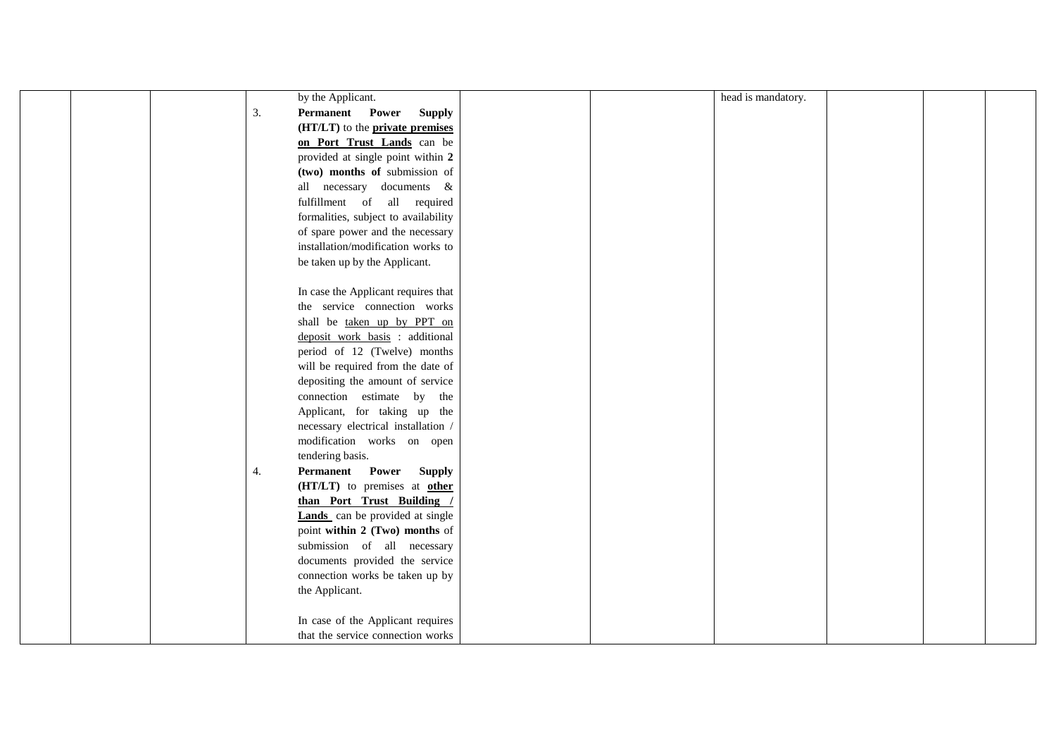|  |    | by the Applicant.                                                   |  | head is mandatory. |  |  |
|--|----|---------------------------------------------------------------------|--|--------------------|--|--|
|  | 3. | Permanent Power Supply                                              |  |                    |  |  |
|  |    | (HT/LT) to the <b>private premises</b>                              |  |                    |  |  |
|  |    | on Port Trust Lands can be                                          |  |                    |  |  |
|  |    | provided at single point within 2                                   |  |                    |  |  |
|  |    | (two) months of submission of                                       |  |                    |  |  |
|  |    | all necessary documents &                                           |  |                    |  |  |
|  |    | fulfillment of all required                                         |  |                    |  |  |
|  |    | formalities, subject to availability                                |  |                    |  |  |
|  |    | of spare power and the necessary                                    |  |                    |  |  |
|  |    | installation/modification works to                                  |  |                    |  |  |
|  |    |                                                                     |  |                    |  |  |
|  |    | be taken up by the Applicant.                                       |  |                    |  |  |
|  |    |                                                                     |  |                    |  |  |
|  |    | In case the Applicant requires that<br>the service connection works |  |                    |  |  |
|  |    | shall be taken up by PPT on                                         |  |                    |  |  |
|  |    |                                                                     |  |                    |  |  |
|  |    | deposit work basis : additional                                     |  |                    |  |  |
|  |    | period of 12 (Twelve) months                                        |  |                    |  |  |
|  |    | will be required from the date of                                   |  |                    |  |  |
|  |    | depositing the amount of service                                    |  |                    |  |  |
|  |    | connection estimate by the                                          |  |                    |  |  |
|  |    | Applicant, for taking up the                                        |  |                    |  |  |
|  |    | necessary electrical installation /                                 |  |                    |  |  |
|  |    | modification works on open                                          |  |                    |  |  |
|  |    | tendering basis.                                                    |  |                    |  |  |
|  | 4. | Permanent Power Supply                                              |  |                    |  |  |
|  |    | (HT/LT) to premises at other                                        |  |                    |  |  |
|  |    | than Port Trust Building /                                          |  |                    |  |  |
|  |    | <b>Lands</b> can be provided at single                              |  |                    |  |  |
|  |    | point within 2 (Two) months of                                      |  |                    |  |  |
|  |    | submission of all necessary                                         |  |                    |  |  |
|  |    | documents provided the service                                      |  |                    |  |  |
|  |    | connection works be taken up by                                     |  |                    |  |  |
|  |    | the Applicant.                                                      |  |                    |  |  |
|  |    |                                                                     |  |                    |  |  |
|  |    | In case of the Applicant requires                                   |  |                    |  |  |
|  |    | that the service connection works                                   |  |                    |  |  |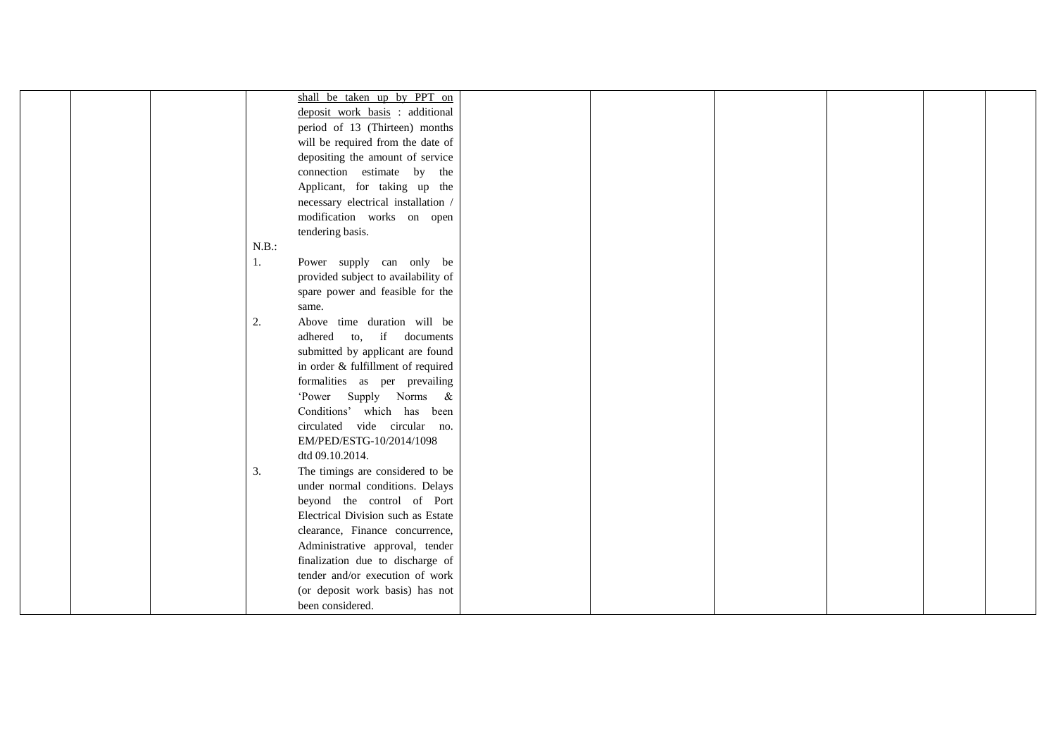|  | shall be taken up by PPT on            |  |  |  |
|--|----------------------------------------|--|--|--|
|  | deposit work basis : additional        |  |  |  |
|  | period of 13 (Thirteen) months         |  |  |  |
|  | will be required from the date of      |  |  |  |
|  | depositing the amount of service       |  |  |  |
|  | connection estimate by the             |  |  |  |
|  | Applicant, for taking up the           |  |  |  |
|  | necessary electrical installation /    |  |  |  |
|  | modification works on open             |  |  |  |
|  | tendering basis.                       |  |  |  |
|  | N.B.:                                  |  |  |  |
|  | Power supply can only be<br>1.         |  |  |  |
|  | provided subject to availability of    |  |  |  |
|  | spare power and feasible for the       |  |  |  |
|  | same.                                  |  |  |  |
|  | Above time duration will be<br>2.      |  |  |  |
|  | adhered to, if documents               |  |  |  |
|  | submitted by applicant are found       |  |  |  |
|  | in order & fulfillment of required     |  |  |  |
|  | formalities as per prevailing          |  |  |  |
|  | 'Power Supply Norms &                  |  |  |  |
|  | Conditions' which has been             |  |  |  |
|  | circulated vide circular no.           |  |  |  |
|  | EM/PED/ESTG-10/2014/1098               |  |  |  |
|  | dtd 09.10.2014.                        |  |  |  |
|  | 3.<br>The timings are considered to be |  |  |  |
|  | under normal conditions. Delays        |  |  |  |
|  | beyond the control of Port             |  |  |  |
|  | Electrical Division such as Estate     |  |  |  |
|  | clearance, Finance concurrence,        |  |  |  |
|  | Administrative approval, tender        |  |  |  |
|  | finalization due to discharge of       |  |  |  |
|  | tender and/or execution of work        |  |  |  |
|  | (or deposit work basis) has not        |  |  |  |
|  | been considered.                       |  |  |  |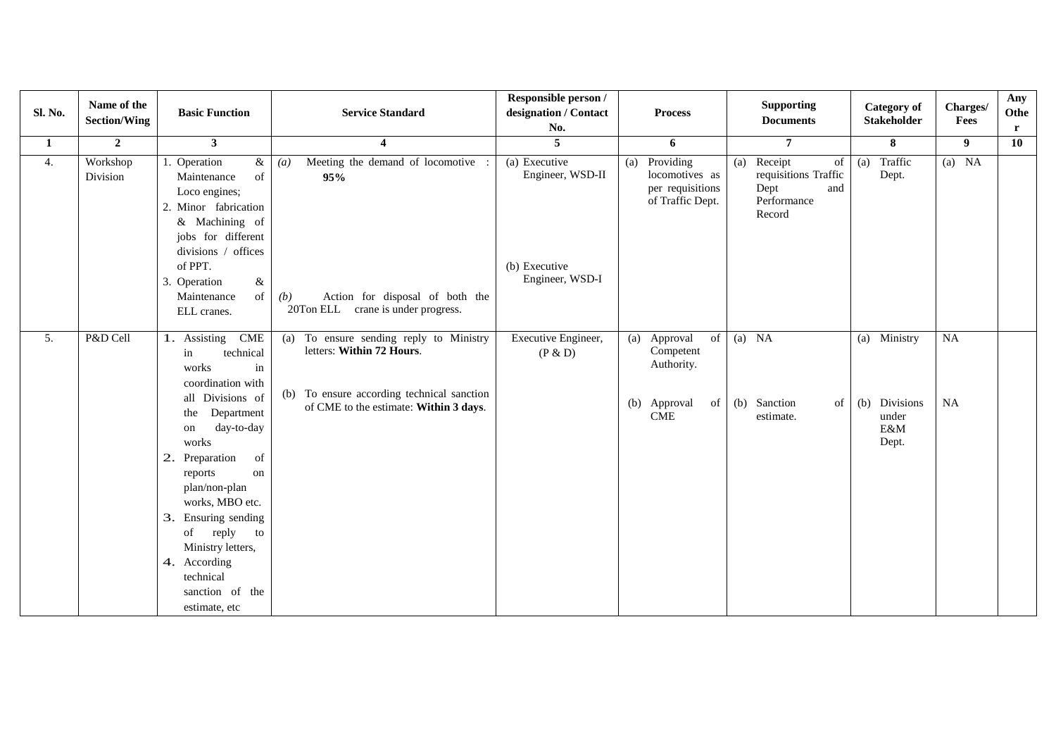| Sl. No. | Name of the<br><b>Section/Wing</b> | <b>Basic Function</b>                                                                                                                                                                                                                                                             | <b>Service Standard</b>                                                                 | Responsible person /<br>designation / Contact<br>No. | <b>Process</b>                                                          | <b>Supporting</b><br><b>Documents</b>                                                | <b>Category of</b><br><b>Stakeholder</b> | Charges/<br>Fees | Any<br>Othe<br>$\mathbf{r}$ |
|---------|------------------------------------|-----------------------------------------------------------------------------------------------------------------------------------------------------------------------------------------------------------------------------------------------------------------------------------|-----------------------------------------------------------------------------------------|------------------------------------------------------|-------------------------------------------------------------------------|--------------------------------------------------------------------------------------|------------------------------------------|------------------|-----------------------------|
| 1       | $\overline{2}$                     | $\mathbf{3}$                                                                                                                                                                                                                                                                      | $\overline{\mathbf{4}}$                                                                 | 5                                                    | 6                                                                       | $\overline{7}$                                                                       | 8                                        | 9                | 10                          |
| 4.      | Workshop<br>Division               | Operation<br>&<br>Maintenance<br>of<br>Loco engines;<br>2. Minor fabrication<br>& Machining of<br>jobs for different                                                                                                                                                              | Meeting the demand of locomotive<br>$\left(a\right)$<br>95%                             | (a) Executive<br>Engineer, WSD-II                    | (a) Providing<br>locomotives as<br>per requisitions<br>of Traffic Dept. | Receipt<br>(a)<br>of<br>requisitions Traffic<br>Dept<br>and<br>Performance<br>Record | Traffic<br>(a)<br>Dept.                  | $(a)$ NA         |                             |
|         |                                    | divisions / offices<br>of PPT.<br>$\&$<br>3.<br>Operation<br>Maintenance<br>of<br>ELL cranes.                                                                                                                                                                                     | Action for disposal of both the<br>(b)<br>20Ton ELL crane is under progress.            | (b) Executive<br>Engineer, WSD-I                     |                                                                         |                                                                                      |                                          |                  |                             |
| 5.      | P&D Cell                           | 1. Assisting CME<br>technical<br>in<br>works<br>in<br>coordination with                                                                                                                                                                                                           | To ensure sending reply to Ministry<br>(a)<br>letters: Within 72 Hours.                 | Executive Engineer,<br>(P & D)                       | (a) Approval<br>of<br>Competent<br>Authority.                           | $(a)$ NA                                                                             | (a) Ministry                             | <b>NA</b>        |                             |
|         |                                    | all Divisions of<br>Department<br>the<br>day-to-day<br>on<br>works<br>2.<br>Preparation<br>of<br>reports<br>on<br>plan/non-plan<br>works, MBO etc.<br>3. Ensuring sending<br>of reply<br>to<br>Ministry letters,<br>4. According<br>technical<br>sanction of the<br>estimate, etc | To ensure according technical sanction<br>(b)<br>of CME to the estimate: Within 3 days. |                                                      | (b) Approval<br>of<br><b>CME</b>                                        | (b) Sanction<br>of<br>estimate.                                                      | (b) Divisions<br>under<br>E&M<br>Dept.   | <b>NA</b>        |                             |